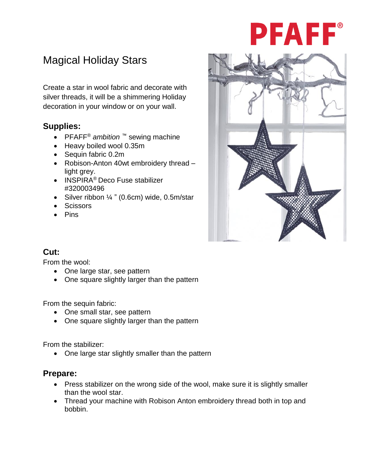# PFAFF®

## Magical Holiday Stars

Create a star in wool fabric and decorate with silver threads, it will be a shimmering Holiday decoration in your window or on your wall.

## **Supplies:**

- PFAFF® *ambition ™* sewing machine
- Heavy boiled wool 0.35m
- Sequin fabric 0.2m
- Robison-Anton 40wt embroidery thread light grey.
- INSPIRA® Deco Fuse stabilizer #320003496
- Silver ribbon  $\frac{1}{4}$  " (0.6cm) wide, 0.5m/star
- Scissors
- Pins



## **Cut:**

From the wool:

- One large star, see pattern
- One square slightly larger than the pattern

From the sequin fabric:

- One small star, see pattern
- One square slightly larger than the pattern

From the stabilizer:

• One large star slightly smaller than the pattern

## **Prepare:**

- Press stabilizer on the wrong side of the wool, make sure it is slightly smaller than the wool star.
- Thread your machine with Robison Anton embroidery thread both in top and bobbin.